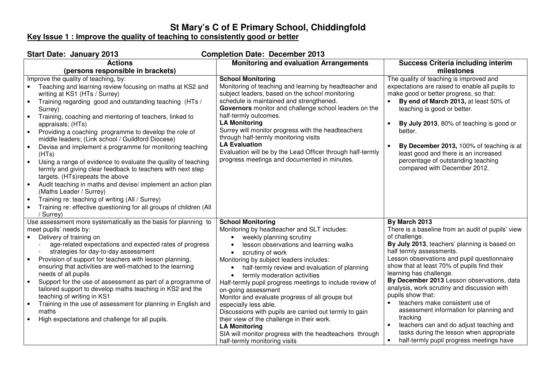## **St Mary's C of E Primary School, Chiddingfold Key Issue 1 : Improve the quality of teaching to consistently good or better**

| <b>Start Date: January 2013</b><br><b>Completion Date: December 2013</b>                                                                                                                                                                                                                                                                                                                                                                                                                                                                                                                                                                                                                                                                                                                                                                                                                                                                                     |                                                                                                                                                                                                                                                                                                                                                                                                                                                                                                                                                                                                                                                                                                       |                                                                                                                                                                                                                                                                                                                                                                                                                                                                                                                                                                                                                                                                                |  |  |
|--------------------------------------------------------------------------------------------------------------------------------------------------------------------------------------------------------------------------------------------------------------------------------------------------------------------------------------------------------------------------------------------------------------------------------------------------------------------------------------------------------------------------------------------------------------------------------------------------------------------------------------------------------------------------------------------------------------------------------------------------------------------------------------------------------------------------------------------------------------------------------------------------------------------------------------------------------------|-------------------------------------------------------------------------------------------------------------------------------------------------------------------------------------------------------------------------------------------------------------------------------------------------------------------------------------------------------------------------------------------------------------------------------------------------------------------------------------------------------------------------------------------------------------------------------------------------------------------------------------------------------------------------------------------------------|--------------------------------------------------------------------------------------------------------------------------------------------------------------------------------------------------------------------------------------------------------------------------------------------------------------------------------------------------------------------------------------------------------------------------------------------------------------------------------------------------------------------------------------------------------------------------------------------------------------------------------------------------------------------------------|--|--|
| <b>Actions</b>                                                                                                                                                                                                                                                                                                                                                                                                                                                                                                                                                                                                                                                                                                                                                                                                                                                                                                                                               | <b>Monitoring and evaluation Arrangements</b>                                                                                                                                                                                                                                                                                                                                                                                                                                                                                                                                                                                                                                                         | <b>Success Criteria including interim</b>                                                                                                                                                                                                                                                                                                                                                                                                                                                                                                                                                                                                                                      |  |  |
| (persons responsible in brackets)                                                                                                                                                                                                                                                                                                                                                                                                                                                                                                                                                                                                                                                                                                                                                                                                                                                                                                                            |                                                                                                                                                                                                                                                                                                                                                                                                                                                                                                                                                                                                                                                                                                       | milestones                                                                                                                                                                                                                                                                                                                                                                                                                                                                                                                                                                                                                                                                     |  |  |
| Improve the quality of teaching, by:<br>Teaching and learning review focusing on maths at KS2 and<br>writing at KS1 (HTs / Surrey)<br>Training regarding good and outstanding teaching (HTs /<br>$\bullet$<br>Surrey)<br>Training, coaching and mentoring of teachers, linked to<br>$\bullet$<br>appraisals; (HTs)<br>Providing a coaching programme to develop the role of<br>$\bullet$<br>middle leaders; (Link school / Guildford Diocese)<br>Devise and implement a programme for monitoring teaching<br>(HTs)<br>Using a range of evidence to evaluate the quality of teaching<br>$\bullet$<br>termly and giving clear feedback to teachers with next step<br>targets. (HTs)repeats the above<br>Audit teaching in maths and devise/implement an action plan<br>$\bullet$<br>(Maths Leader / Surrey)<br>Training re: teaching of writing (All / Surrey)<br>$\bullet$<br>Training re: effective questioning for all groups of children (All<br>/ Surrey) | <b>School Monitoring</b><br>Monitoring of teaching and learning by headteacher and<br>subject leaders, based on the school monitoring<br>schedule is maintained and strengthened.<br>Governors monitor and challenge school leaders on the<br>half-termly outcomes.<br><b>LA Monitoring</b><br>Surrey will monitor progress with the headteachers<br>through half-termly monitoring visits<br><b>LA Evaluation</b><br>Evaluation will be by the Lead Officer through half-termly<br>progress meetings and documented in minutes.                                                                                                                                                                      | The quality of teaching is improved and<br>expectations are raised to enable all pupils to<br>make good or better progress, so that:<br>By end of March 2013, at least 50% of<br>teaching is good or better.<br>By July 2013, 80% of teaching is good or<br>better.<br>By December 2013, 100% of teaching is at<br>$\bullet$<br>least good and there is an increased<br>percentage of outstanding teaching<br>compared with December 2012.                                                                                                                                                                                                                                     |  |  |
| Use assessment more systematically as the basis for planning to<br>meet pupils' needs by:<br>Delivery of training on<br>age-related expectations and expected rates of progress<br>strategies for day-to-day assessment<br>Provision of support for teachers with lesson planning,<br>$\bullet$<br>ensuring that activities are well-matched to the learning<br>needs of all pupils<br>Support for the use of assessment as part of a programme of<br>$\bullet$<br>tailored support to develop maths teaching in KS2 and the<br>teaching of writing in KS1<br>Training in the use of assessment for planning in English and<br>$\bullet$<br>maths<br>High expectations and challenge for all pupils.                                                                                                                                                                                                                                                         | <b>School Monitoring</b><br>Monitoring by headteacher and SLT includes:<br>weekly planning scrutiny<br>lesson observations and learning walks<br>scrutiny of work<br>$\bullet$<br>Monitoring by subject leaders includes:<br>half-termly review and evaluation of planning<br>termly moderation activities<br>Half-termly pupil progress meetings to include review of<br>on-going assessment<br>Monitor and evaluate progress of all groups but<br>especially less able.<br>Discussions with pupils are carried out termly to gain<br>their view of the challenge in their work.<br><b>LA Monitoring</b><br>SIA will monitor progress with the headteachers through<br>half-termly monitoring visits | By March 2013<br>There is a baseline from an audit of pupils' view<br>of challenge.<br>By July 2013, teachers' planning is based on<br>half termly assessments.<br>Lesson observations and pupil questionnaire<br>show that at least 70% of pupils find their<br>learning has challenge.<br>By December 2013 Lesson observations, data<br>analysis, work scrutiny and discussion with<br>pupils show that:<br>teachers make consistent use of<br>$\bullet$<br>assessment information for planning and<br>tracking<br>teachers can and do adjust teaching and<br>$\bullet$<br>tasks during the lesson when appropriate<br>half-termly pupil progress meetings have<br>$\bullet$ |  |  |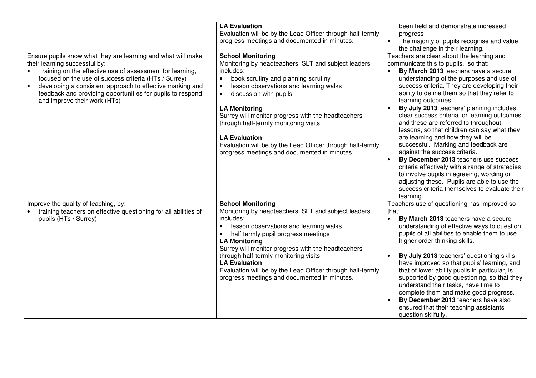|                                                                                                                                                                                                                                                                                                                                                                                             | <b>LA Evaluation</b><br>Evaluation will be by the Lead Officer through half-termly<br>progress meetings and documented in minutes.                                                                                                                                                                                                                                                                                                                                                                          | been held and demonstrate increased<br>progress<br>The majority of pupils recognise and value<br>the challenge in their learning.                                                                                                                                                                                                                                                                                                                                                                                                                                                                                                                                                                                                                                                                                                                                                        |
|---------------------------------------------------------------------------------------------------------------------------------------------------------------------------------------------------------------------------------------------------------------------------------------------------------------------------------------------------------------------------------------------|-------------------------------------------------------------------------------------------------------------------------------------------------------------------------------------------------------------------------------------------------------------------------------------------------------------------------------------------------------------------------------------------------------------------------------------------------------------------------------------------------------------|------------------------------------------------------------------------------------------------------------------------------------------------------------------------------------------------------------------------------------------------------------------------------------------------------------------------------------------------------------------------------------------------------------------------------------------------------------------------------------------------------------------------------------------------------------------------------------------------------------------------------------------------------------------------------------------------------------------------------------------------------------------------------------------------------------------------------------------------------------------------------------------|
| Ensure pupils know what they are learning and what will make<br>their learning successful by:<br>training on the effective use of assessment for learning,<br>focused on the use of success criteria (HTs / Surrey)<br>developing a consistent approach to effective marking and<br>$\bullet$<br>feedback and providing opportunities for pupils to respond<br>and improve their work (HTs) | <b>School Monitoring</b><br>Monitoring by headteachers, SLT and subject leaders<br>includes:<br>book scrutiny and planning scrutiny<br>$\bullet$<br>lesson observations and learning walks<br>$\bullet$<br>discussion with pupils<br>$\bullet$<br><b>LA Monitoring</b><br>Surrey will monitor progress with the headteachers<br>through half-termly monitoring visits<br><b>LA Evaluation</b><br>Evaluation will be by the Lead Officer through half-termly<br>progress meetings and documented in minutes. | Teachers are clear about the learning and<br>communicate this to pupils, so that:<br>By March 2013 teachers have a secure<br>$\bullet$<br>understanding of the purposes and use of<br>success criteria. They are developing their<br>ability to define them so that they refer to<br>learning outcomes.<br>By July 2013 teachers' planning includes<br>$\bullet$<br>clear success criteria for learning outcomes<br>and these are referred to throughout<br>lessons, so that children can say what they<br>are learning and how they will be<br>successful. Marking and feedback are<br>against the success criteria.<br>By December 2013 teachers use success<br>$\bullet$<br>criteria effectively with a range of strategies<br>to involve pupils in agreeing, wording or<br>adjusting these. Pupils are able to use the<br>success criteria themselves to evaluate their<br>learning. |
| Improve the quality of teaching, by:<br>training teachers on effective questioning for all abilities of<br>pupils (HTs / Surrey)                                                                                                                                                                                                                                                            | <b>School Monitoring</b><br>Monitoring by headteachers, SLT and subject leaders<br>includes:<br>lesson observations and learning walks<br>$\bullet$<br>half termly pupil progress meetings<br>$\bullet$<br><b>LA Monitoring</b><br>Surrey will monitor progress with the headteachers<br>through half-termly monitoring visits<br><b>LA Evaluation</b><br>Evaluation will be by the Lead Officer through half-termly<br>progress meetings and documented in minutes.                                        | Teachers use of questioning has improved so<br>that:<br>By March 2013 teachers have a secure<br>$\bullet$<br>understanding of effective ways to question<br>pupils of all abilities to enable them to use<br>higher order thinking skills.<br>By July 2013 teachers' questioning skills<br>$\bullet$<br>have improved so that pupils' learning, and<br>that of lower ability pupils in particular, is<br>supported by good questioning, so that they<br>understand their tasks, have time to<br>complete them and make good progress.<br>By December 2013 teachers have also<br>ensured that their teaching assistants<br>question skilfully.                                                                                                                                                                                                                                            |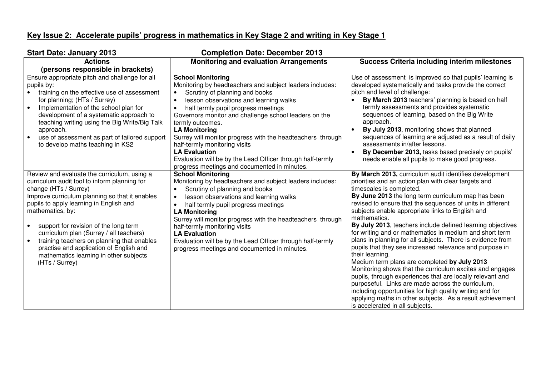## **Key Issue 2: Accelerate pupils' progress in mathematics in Key Stage 2 and writing in Key Stage 1**

| <b>Start Date: January 2013</b><br><b>Completion Date: December 2013</b> |                                                                          |                                                            |  |  |
|--------------------------------------------------------------------------|--------------------------------------------------------------------------|------------------------------------------------------------|--|--|
| <b>Actions</b>                                                           | <b>Monitoring and evaluation Arrangements</b>                            | <b>Success Criteria including interim milestones</b>       |  |  |
| (persons responsible in brackets)                                        |                                                                          |                                                            |  |  |
| Ensure appropriate pitch and challenge for all                           | <b>School Monitoring</b>                                                 | Use of assessment is improved so that pupils' learning is  |  |  |
| pupils by:                                                               | Monitoring by headteachers and subject leaders includes:                 | developed systematically and tasks provide the correct     |  |  |
| training on the effective use of assessment                              | Scrutiny of planning and books                                           | pitch and level of challenge:                              |  |  |
| for planning; (HTs / Surrey)                                             | lesson observations and learning walks                                   | By March 2013 teachers' planning is based on half          |  |  |
| Implementation of the school plan for<br>$\bullet$                       | half termly pupil progress meetings                                      | termly assessments and provides systematic                 |  |  |
| development of a systematic approach to                                  | Governors monitor and challenge school leaders on the                    | sequences of learning, based on the Big Write              |  |  |
| teaching writing using the Big Write/Big Talk                            | termly outcomes.                                                         | approach.                                                  |  |  |
| approach.                                                                | <b>LA Monitoring</b>                                                     | By July 2013, monitoring shows that planned                |  |  |
| use of assessment as part of tailored support                            | Surrey will monitor progress with the headteachers through               | sequences of learning are adjusted as a result of daily    |  |  |
| to develop maths teaching in KS2                                         | half-termly monitoring visits                                            | assessments in/after lessons.                              |  |  |
|                                                                          | <b>LA Evaluation</b>                                                     | By December 2013, tasks based precisely on pupils'         |  |  |
|                                                                          | Evaluation will be by the Lead Officer through half-termly               | needs enable all pupils to make good progress.             |  |  |
| Review and evaluate the curriculum, using a                              | progress meetings and documented in minutes.<br><b>School Monitoring</b> | By March 2013, curriculum audit identifies development     |  |  |
| curriculum audit tool to inform planning for                             | Monitoring by headteachers and subject leaders includes:                 | priorities and an action plan with clear targets and       |  |  |
| change (HTs / Surrey)                                                    | Scrutiny of planning and books<br>$\bullet$                              | timescales is completed.                                   |  |  |
| Improve curriculum planning so that it enables                           | lesson observations and learning walks<br>$\bullet$                      | By June 2013 the long term curriculum map has been         |  |  |
| pupils to apply learning in English and                                  | half termly pupil progress meetings                                      | revised to ensure that the sequences of units in different |  |  |
| mathematics, by:                                                         | <b>LA Monitoring</b>                                                     | subjects enable appropriate links to English and           |  |  |
|                                                                          | Surrey will monitor progress with the headteachers through               | mathematics.                                               |  |  |
| support for revision of the long term                                    | half-termly monitoring visits                                            | By July 2013, teachers include defined learning objectives |  |  |
| curriculum plan (Surrey / all teachers)                                  | <b>LA Evaluation</b>                                                     | for writing and or mathematics in medium and short term    |  |  |
| training teachers on planning that enables                               | Evaluation will be by the Lead Officer through half-termly               | plans in planning for all subjects. There is evidence from |  |  |
| practise and application of English and                                  | progress meetings and documented in minutes.                             | pupils that they see increased relevance and purpose in    |  |  |
| mathematics learning in other subjects                                   |                                                                          | their learning.                                            |  |  |
| (HTs / Surrey)                                                           |                                                                          | Medium term plans are completed by July 2013               |  |  |
|                                                                          |                                                                          | Monitoring shows that the curriculum excites and engages   |  |  |
|                                                                          |                                                                          | pupils, through experiences that are locally relevant and  |  |  |
|                                                                          |                                                                          | purposeful. Links are made across the curriculum,          |  |  |
|                                                                          |                                                                          | including opportunities for high quality writing and for   |  |  |
|                                                                          |                                                                          | applying maths in other subjects. As a result achievement  |  |  |
|                                                                          |                                                                          | is accelerated in all subjects.                            |  |  |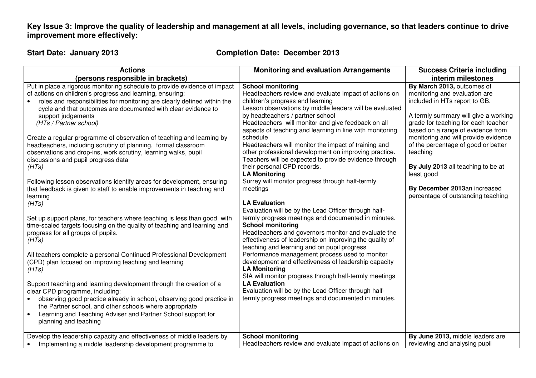**Key Issue 3: Improve the quality of leadership and management at all levels, including governance, so that leaders continue to drive improvement more effectively:** 

**Start Date: January 2013 Completion Date: December 2013**

| <b>Actions</b>                                                                                                                                                                                                                                                                                                                                                                                                                                                                                                                                                                           | <b>Monitoring and evaluation Arrangements</b>                                                                                                                                                                                                                                                                                                                                                                                                                                                                                | <b>Success Criteria including</b>                                                                                                                                                                                                                                                                           |
|------------------------------------------------------------------------------------------------------------------------------------------------------------------------------------------------------------------------------------------------------------------------------------------------------------------------------------------------------------------------------------------------------------------------------------------------------------------------------------------------------------------------------------------------------------------------------------------|------------------------------------------------------------------------------------------------------------------------------------------------------------------------------------------------------------------------------------------------------------------------------------------------------------------------------------------------------------------------------------------------------------------------------------------------------------------------------------------------------------------------------|-------------------------------------------------------------------------------------------------------------------------------------------------------------------------------------------------------------------------------------------------------------------------------------------------------------|
| (persons responsible in brackets)                                                                                                                                                                                                                                                                                                                                                                                                                                                                                                                                                        |                                                                                                                                                                                                                                                                                                                                                                                                                                                                                                                              | interim milestones                                                                                                                                                                                                                                                                                          |
| Put in place a rigorous monitoring schedule to provide evidence of impact<br>of actions on children's progress and learning, ensuring:<br>roles and responsibilities for monitoring are clearly defined within the<br>cycle and that outcomes are documented with clear evidence to<br>support judgements<br>(HTs / Partner school)<br>Create a regular programme of observation of teaching and learning by<br>headteachers, including scrutiny of planning, formal classroom<br>observations and drop-ins, work scrutiny, learning walks, pupil<br>discussions and pupil progress data | <b>School monitoring</b><br>Headteachers review and evaluate impact of actions on<br>children's progress and learning<br>Lesson observations by middle leaders will be evaluated<br>by headteachers / partner school<br>Headteachers will monitor and give feedback on all<br>aspects of teaching and learning in line with monitoring<br>schedule<br>Headteachers will monitor the impact of training and<br>other professional development on improving practice.<br>Teachers will be expected to provide evidence through | By March 2013, outcomes of<br>monitoring and evaluation are<br>included in HTs report to GB.<br>A termly summary will give a working<br>grade for teaching for each teacher<br>based on a range of evidence from<br>monitoring and will provide evidence<br>of the percentage of good or better<br>teaching |
| (HTs)<br>Following lesson observations identify areas for development, ensuring<br>that feedback is given to staff to enable improvements in teaching and<br>learning<br>(HTs)<br>Set up support plans, for teachers where teaching is less than good, with<br>time-scaled targets focusing on the quality of teaching and learning and<br>progress for all groups of pupils.                                                                                                                                                                                                            | their personal CPD records.<br><b>LA Monitoring</b><br>Surrey will monitor progress through half-termly<br>meetings<br><b>LA Evaluation</b><br>Evaluation will be by the Lead Officer through half-<br>termly progress meetings and documented in minutes.<br><b>School monitoring</b><br>Headteachers and governors monitor and evaluate the                                                                                                                                                                                | By July 2013 all teaching to be at<br>least good<br>By December 2013an increased<br>percentage of outstanding teaching                                                                                                                                                                                      |
| (HTs)<br>All teachers complete a personal Continued Professional Development<br>(CPD) plan focused on improving teaching and learning<br>(HTs)<br>Support teaching and learning development through the creation of a<br>clear CPD programme, including:<br>observing good practice already in school, observing good practice in<br>the Partner school, and other schools where appropriate<br>Learning and Teaching Adviser and Partner School support for<br>$\bullet$<br>planning and teaching                                                                                       | effectiveness of leadership on improving the quality of<br>teaching and learning and on pupil progress<br>Performance management process used to monitor<br>development and effectiveness of leadership capacity<br><b>LA Monitoring</b><br>SIA will monitor progress through half-termly meetings<br><b>LA Evaluation</b><br>Evaluation will be by the Lead Officer through half-<br>termly progress meetings and documented in minutes.                                                                                    |                                                                                                                                                                                                                                                                                                             |
| Develop the leadership capacity and effectiveness of middle leaders by<br>Implementing a middle leadership development programme to                                                                                                                                                                                                                                                                                                                                                                                                                                                      | <b>School monitoring</b><br>Headteachers review and evaluate impact of actions on                                                                                                                                                                                                                                                                                                                                                                                                                                            | By June 2013, middle leaders are<br>reviewing and analysing pupil                                                                                                                                                                                                                                           |